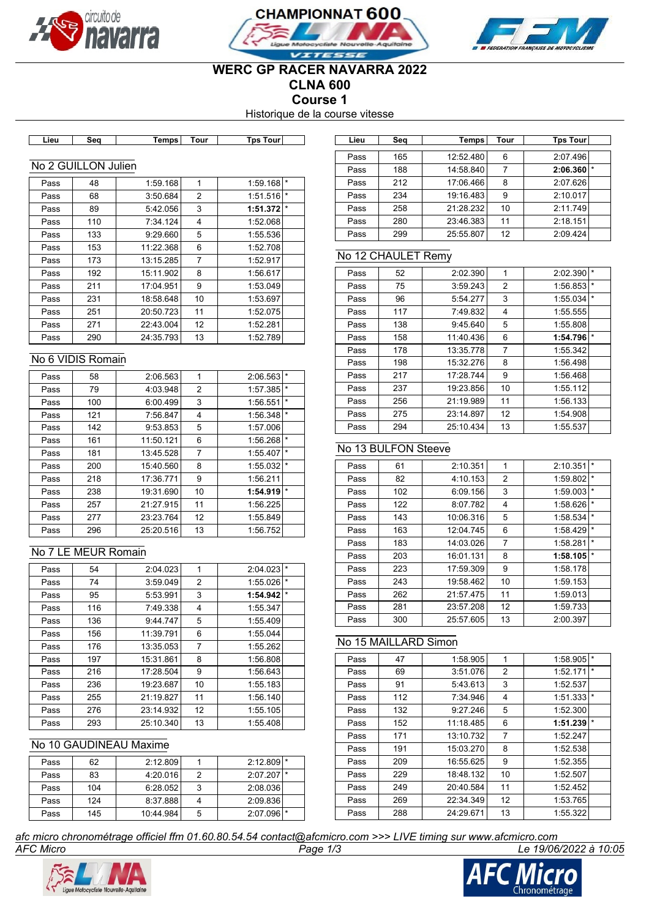





# **WERC GP RACER NAVARRA 2022 CLNA 600**

**Course 1**

Historique de la course vitesse

| Tɒs Tourl<br>Tempsl<br>Tour<br>Lieu<br>Sea |
|--------------------------------------------|
|--------------------------------------------|

## No 2 GUILLON Julien

| Pass | 48  | 1:59.168  | 1  | 1:59.168 | $\star$ |
|------|-----|-----------|----|----------|---------|
| Pass | 68  | 3:50.684  | 2  | 1:51.516 | ∣ *     |
| Pass | 89  | 5:42.056  | 3  | 1:51.372 | l *     |
| Pass | 110 | 7:34.124  | 4  | 1:52.068 |         |
| Pass | 133 | 9:29.660  | 5  | 1:55.536 |         |
| Pass | 153 | 11:22.368 | 6  | 1:52.708 |         |
| Pass | 173 | 13:15.285 | 7  | 1:52.917 |         |
| Pass | 192 | 15:11.902 | 8  | 1:56.617 |         |
| Pass | 211 | 17:04.951 | 9  | 1:53.049 |         |
| Pass | 231 | 18:58.648 | 10 | 1:53.697 |         |
| Pass | 251 | 20:50.723 | 11 | 1:52.075 |         |
| Pass | 271 | 22:43.004 | 12 | 1:52.281 |         |
| Pass | 290 | 24:35.793 | 13 | 1:52.789 |         |

### No 6 VIDIS Romain

| Pass | 58  | 2:06.563  | 1  | 2:06.563 | $\star$ |
|------|-----|-----------|----|----------|---------|
| Pass | 79  | 4:03.948  | 2  | 1:57.385 | $\star$ |
| Pass | 100 | 6:00.499  | 3  | 1:56.551 | $\star$ |
| Pass | 121 | 7:56.847  | 4  | 1:56.348 | $\star$ |
| Pass | 142 | 9:53.853  | 5  | 1:57.006 |         |
| Pass | 161 | 11:50.121 | 6  | 1:56.268 | *       |
| Pass | 181 | 13:45.528 | 7  | 1:55.407 | $\star$ |
| Pass | 200 | 15:40.560 | 8  | 1:55.032 | $\star$ |
| Pass | 218 | 17:36.771 | 9  | 1:56.211 |         |
| Pass | 238 | 19:31.690 | 10 | 1:54.919 | $\star$ |
| Pass | 257 | 21:27.915 | 11 | 1:56.225 |         |
| Pass | 277 | 23:23.764 | 12 | 1:55.849 |         |
| Pass | 296 | 25:20.516 | 13 | 1:56.752 |         |

### No 7 LE MEUR Romain

| Pass | 54  | 2:04.023  | 1              | 2:04.023 | $\star$ |
|------|-----|-----------|----------------|----------|---------|
| Pass | 74  | 3:59.049  | $\overline{2}$ | 1:55.026 | $\star$ |
| Pass | 95  | 5:53.991  | 3              | 1:54.942 | $\star$ |
| Pass | 116 | 7:49.338  | 4              | 1:55.347 |         |
| Pass | 136 | 9:44.747  | 5              | 1:55.409 |         |
| Pass | 156 | 11:39.791 | 6              | 1:55.044 |         |
| Pass | 176 | 13:35.053 | $\overline{7}$ | 1:55.262 |         |
| Pass | 197 | 15:31.861 | 8              | 1:56.808 |         |
| Pass | 216 | 17:28.504 | 9              | 1:56.643 |         |
| Pass | 236 | 19:23.687 | 10             | 1:55.183 |         |
| Pass | 255 | 21:19.827 | 11             | 1:56.140 |         |
| Pass | 276 | 23:14.932 | 12             | 1:55.105 |         |
| Pass | 293 | 25:10.340 | 13             | 1:55.408 |         |

### No 10 GAUDINEAU Maxime

| Pass | 62  | 2:12.809  |   | $2:12.809$ <sup>*</sup> |  |
|------|-----|-----------|---|-------------------------|--|
| Pass | 83  | 4:20.016  |   | 2:07.2071*              |  |
| Pass | 104 | 6:28.052  | 3 | 2:08.036                |  |
| Pass | 124 | 8:37.888  |   | 2:09.836                |  |
| Pass | 145 | 10:44.984 | 5 | 2:07.096                |  |

| Lieu             | Sea | Temps I  | Tour           | <b>Tps Tour</b>         |      | Lieu | Seg       | Temps     | Tour     | <b>Tps Tour</b> |
|------------------|-----|----------|----------------|-------------------------|------|------|-----------|-----------|----------|-----------------|
|                  |     |          |                |                         |      |      |           |           |          |                 |
|                  |     |          |                |                         | Pass | 165  | 12:52.480 | 6         | 2:07.496 |                 |
| 2 GUILLON Julien |     |          |                |                         |      |      | 188       | 14:58.840 |          | $2:06.360$ *    |
| Pass             | 48  | 1:59.168 |                | $1:59.168$ <sup>*</sup> |      | Pass | 212       | 17:06.466 | 8        | 2:07.626        |
| Pass             | 68  | 3:50.684 | $\overline{2}$ | $1:51.516$ <sup>*</sup> |      | Pass | 234       | 19:16.483 | 9        | 2:10.017        |
| Pass             | 89  | 5:42.056 | 3              | $1:51.372$ $*$          |      | Pass | 258       | 21:28.232 | 10       | 2:11.749        |
| Pass             | 110 | 7:34.124 | 4              | 1:52.068                |      | Pass | 280       | 23:46.383 | 11       | 2:18.151        |
| Pass             | 133 | 9:29.660 | 5              | 1:55.536                |      | Pass | 299       | 25:55.807 | 12       | 2:09.424        |

## No 12 CHAULET Remy

| Pass | 52  | 2:02.390  | 1  | 2:02.390 | *       |
|------|-----|-----------|----|----------|---------|
| Pass | 75  | 3:59.243  | 2  | 1:56.853 | $\star$ |
| Pass | 96  | 5:54.277  | 3  | 1:55.034 | $\star$ |
| Pass | 117 | 7:49.832  | 4  | 1:55.555 |         |
| Pass | 138 | 9:45.640  | 5  | 1:55.808 |         |
| Pass | 158 | 11:40.436 | 6  | 1:54.796 | $\star$ |
| Pass | 178 | 13:35.778 | 7  | 1:55.342 |         |
| Pass | 198 | 15:32.276 | 8  | 1:56.498 |         |
| Pass | 217 | 17:28.744 | 9  | 1:56.468 |         |
| Pass | 237 | 19:23.856 | 10 | 1:55.112 |         |
| Pass | 256 | 21:19.989 | 11 | 1:56.133 |         |
| Pass | 275 | 23:14.897 | 12 | 1:54.908 |         |
| Pass | 294 | 25:10.434 | 13 | 1:55.537 |         |

# No 13 BULFON Steeve

| Pass | 61  | 2:10.351  | 1              | 2:10.351 | $\star$ |
|------|-----|-----------|----------------|----------|---------|
| Pass | 82  | 4:10.153  | 2              | 1:59.802 | $\star$ |
| Pass | 102 | 6:09.156  | 3              | 1:59.003 | $\star$ |
| Pass | 122 | 8:07.782  | 4              | 1:58.626 | $\star$ |
| Pass | 143 | 10:06.316 | 5              | 1:58.534 | $\star$ |
| Pass | 163 | 12:04.745 | 6              | 1:58.429 | $\star$ |
| Pass | 183 | 14:03.026 | $\overline{7}$ | 1:58.281 | $\star$ |
| Pass | 203 | 16:01.131 | 8              | 1:58.105 | $\star$ |
| Pass | 223 | 17:59.309 | 9              | 1:58.178 |         |
| Pass | 243 | 19:58.462 | 10             | 1:59.153 |         |
| Pass | 262 | 21:57.475 | 11             | 1:59.013 |         |
| Pass | 281 | 23:57.208 | 12             | 1:59.733 |         |
| Pass | 300 | 25:57.605 | 13             | 2:00.397 |         |

# No 15 MAILLARD Simon

| Pass | 47  | 1:58.905  | 1  | 1:58.905 | $\star$ |
|------|-----|-----------|----|----------|---------|
| Pass | 69  | 3:51.076  | 2  | 1:52.171 | $\star$ |
| Pass | 91  | 5:43.613  | 3  | 1:52.537 |         |
| Pass | 112 | 7:34.946  | 4  | 1:51.333 | $\star$ |
| Pass | 132 | 9:27.246  | 5  | 1:52.300 |         |
| Pass | 152 | 11:18.485 | 6  | 1:51.239 | $\star$ |
| Pass | 171 | 13:10.732 | 7  | 1:52.247 |         |
| Pass | 191 | 15:03.270 | 8  | 1:52.538 |         |
| Pass | 209 | 16:55.625 | 9  | 1:52.355 |         |
| Pass | 229 | 18:48.132 | 10 | 1:52.507 |         |
| Pass | 249 | 20:40.584 | 11 | 1:52.452 |         |
| Pass | 269 | 22:34.349 | 12 | 1:53.765 |         |
| Pass | 288 | 24:29.671 | 13 | 1:55.322 |         |

*AFC Micro Page 1/3 Le 19/06/2022 à 10:05 afc micro chronométrage officiel ffm 01.60.80.54.54 contact@afcmicro.com >>> LIVE timing sur www.afcmicro.com*



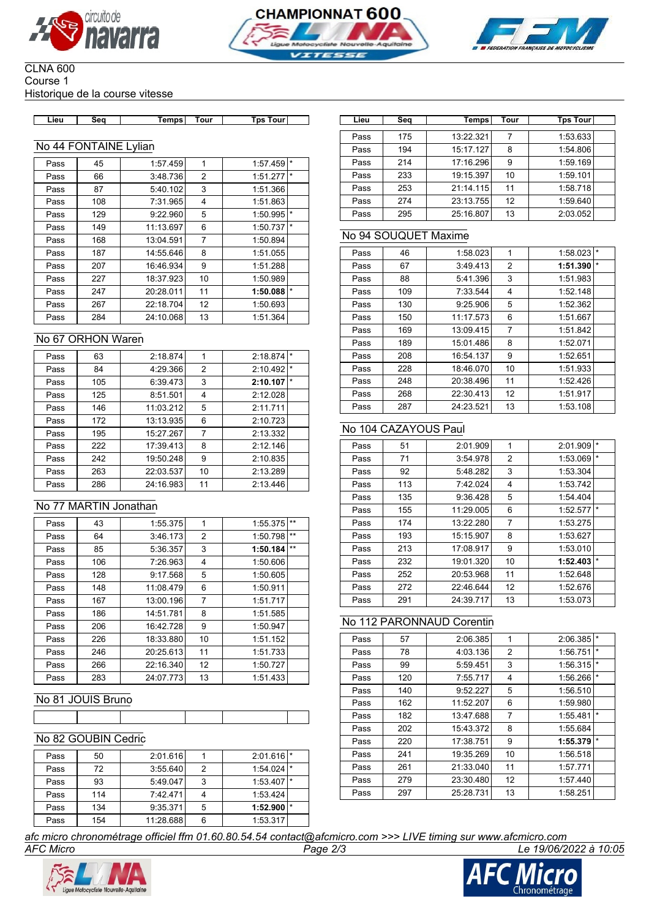





#### CLNA 600 Course 1 Historique de la course vitesse

| Lieu | Sea | Tempsl | Tour | <b>Tps Tourl</b> |  |
|------|-----|--------|------|------------------|--|

# No 44 FONTAINE Lylian

| Pass | 45  | 1:57.459  | 1  | 1:57.459 | $\star$ |
|------|-----|-----------|----|----------|---------|
| Pass | 66  | 3:48.736  | 2  | 1:51.277 | $\star$ |
| Pass | 87  | 5:40.102  | 3  | 1:51.366 |         |
| Pass | 108 | 7:31.965  | 4  | 1:51.863 |         |
| Pass | 129 | 9:22.960  | 5  | 1:50.995 | $\star$ |
| Pass | 149 | 11:13.697 | 6  | 1:50.737 | $\star$ |
| Pass | 168 | 13:04.591 | 7  | 1:50.894 |         |
| Pass | 187 | 14:55.646 | 8  | 1:51.055 |         |
| Pass | 207 | 16:46.934 | 9  | 1:51.288 |         |
| Pass | 227 | 18:37.923 | 10 | 1:50.989 |         |
| Pass | 247 | 20:28.011 | 11 | 1:50.088 | $\star$ |
| Pass | 267 | 22:18.704 | 12 | 1:50.693 |         |
| Pass | 284 | 24:10.068 | 13 | 1:51.364 |         |

#### No 67 ORHON Waren

| Pass | 63  | 2:18.874  | 1              | 2:18.874 |         |
|------|-----|-----------|----------------|----------|---------|
| Pass | 84  | 4:29.366  | $\overline{2}$ | 2:10.492 | $\star$ |
| Pass | 105 | 6:39.473  | 3              | 2:10.107 | $\star$ |
| Pass | 125 | 8:51.501  | 4              | 2:12.028 |         |
| Pass | 146 | 11:03.212 | 5              | 2:11.711 |         |
| Pass | 172 | 13:13.935 | 6              | 2:10.723 |         |
| Pass | 195 | 15:27.267 | $\overline{7}$ | 2:13.332 |         |
| Pass | 222 | 17:39.413 | 8              | 2:12.146 |         |
| Pass | 242 | 19:50.248 | 9              | 2:10.835 |         |
| Pass | 263 | 22:03.537 | 10             | 2:13.289 |         |
| Pass | 286 | 24:16.983 | 11             | 2:13.446 |         |

# No 77 MARTIN Jonathan

| Pass | 43  | 1:55.375  | 1  | 1:55.375 | $***$ |
|------|-----|-----------|----|----------|-------|
| Pass | 64  | 3:46.173  | 2  | 1:50.798 | $***$ |
| Pass | 85  | 5:36.357  | 3  | 1:50.184 | $***$ |
| Pass | 106 | 7:26.963  | 4  | 1:50.606 |       |
| Pass | 128 | 9:17.568  | 5  | 1:50.605 |       |
| Pass | 148 | 11:08.479 | 6  | 1:50.911 |       |
| Pass | 167 | 13:00.196 | 7  | 1:51.717 |       |
| Pass | 186 | 14:51.781 | 8  | 1:51.585 |       |
| Pass | 206 | 16:42.728 | 9  | 1:50.947 |       |
| Pass | 226 | 18:33.880 | 10 | 1:51.152 |       |
| Pass | 246 | 20:25.613 | 11 | 1:51.733 |       |
| Pass | 266 | 22:16.340 | 12 | 1:50.727 |       |
| Pass | 283 | 24:07.773 | 13 | 1:51.433 |       |

# No 81 JOUIS Bruno

# No 82 GOUBIN Cedric

| Pass | 50  | 2:01.616  |   | 2:01.616 |         |
|------|-----|-----------|---|----------|---------|
| Pass | 72  | 3:55.640  | 2 | 1:54.024 | $\star$ |
| Pass | 93  | 5:49.047  | 3 | 1:53.407 | $\star$ |
| Pass | 114 | 7:42.471  |   | 1:53.424 |         |
| Pass | 134 | 9:35.371  | 5 | 1:52.900 | $\star$ |
| Pass | 154 | 11:28.688 | 6 | 1:53.317 |         |

| Lieu | Sea                   | Temps    | Tour           | <b>Tps Tour</b>         | Lieu | Seg | Temps     | Tour | <b>Tps Tour</b> |
|------|-----------------------|----------|----------------|-------------------------|------|-----|-----------|------|-----------------|
|      |                       |          |                |                         |      |     |           |      |                 |
|      |                       |          |                |                         | Pass | 175 | 13:22.321 |      | 1:53.633        |
|      | اه 44 FONTAINE Lylian |          |                |                         | Pass | 194 | 15:17.127 | 8    | 1:54.806        |
| Pass | 45                    | 1:57.459 |                | $1:57.459$ <sup>*</sup> | Pass | 214 | 17:16.296 | 9    | 1:59.169        |
| Pass | 66                    | 3:48.736 | $\overline{2}$ | $1:51.277$ *            | Pass | 233 | 19:15.397 | 10   | 1:59.101        |
| Pass | 87                    | 5:40.102 | 3              | 1:51.366                | Pass | 253 | 21:14.115 | 11   | 1:58.718        |
| Pass | 108                   | 7:31.965 | 4              | 1:51.863                | Pass | 274 | 23:13.755 | 12   | 1:59.640        |
| Pass | 129                   | 9:22.960 | 5              | $1:50.995$ <sup>*</sup> | Pass | 295 | 25:16.807 | 13   | 2:03.052        |
|      |                       |          |                |                         |      |     |           |      |                 |

## No 94 SOUQUET Maxime

| Pass | 46  | 1:58.023  | 1                       | 1:58.023 | $\star$ |
|------|-----|-----------|-------------------------|----------|---------|
| Pass | 67  | 3:49.413  | 2                       | 1:51.390 | $\star$ |
| Pass | 88  | 5:41.396  | 3                       | 1:51.983 |         |
| Pass | 109 | 7:33.544  | $\overline{\mathbf{4}}$ | 1:52.148 |         |
| Pass | 130 | 9:25.906  | 5                       | 1:52.362 |         |
| Pass | 150 | 11:17.573 | 6                       | 1:51.667 |         |
| Pass | 169 | 13:09.415 | $\overline{7}$          | 1:51.842 |         |
| Pass | 189 | 15:01.486 | 8                       | 1:52.071 |         |
| Pass | 208 | 16:54.137 | 9                       | 1:52.651 |         |
| Pass | 228 | 18:46.070 | 10                      | 1:51.933 |         |
| Pass | 248 | 20:38.496 | 11                      | 1:52.426 |         |
| Pass | 268 | 22:30.413 | 12                      | 1:51.917 |         |
| Pass | 287 | 24:23.521 | 13                      | 1:53.108 |         |

# No 104 CAZAYOUS Paul

| Pass | 51  | 2:01.909  | 1  | 2:01.909 | $\star$ |
|------|-----|-----------|----|----------|---------|
| Pass | 71  | 3:54.978  | 2  | 1:53.069 | $\star$ |
| Pass | 92  | 5:48.282  | 3  | 1:53.304 |         |
| Pass | 113 | 7:42.024  | 4  | 1:53.742 |         |
| Pass | 135 | 9:36.428  | 5  | 1:54.404 |         |
| Pass | 155 | 11:29.005 | 6  | 1:52.577 | $\star$ |
| Pass | 174 | 13:22.280 | 7  | 1:53.275 |         |
| Pass | 193 | 15:15.907 | 8  | 1:53.627 |         |
| Pass | 213 | 17:08.917 | 9  | 1:53.010 |         |
| Pass | 232 | 19:01.320 | 10 | 1:52.403 | $\star$ |
| Pass | 252 | 20:53.968 | 11 | 1:52.648 |         |
| Pass | 272 | 22:46.644 | 12 | 1:52.676 |         |
| Pass | 291 | 24:39.717 | 13 | 1:53.073 |         |

#### No 112 PARONNAUD Corentin

| Pass | 57  | 2:06.385  | 1  | 2:06.385 | $\star$  |
|------|-----|-----------|----|----------|----------|
| Pass | 78  | 4:03.136  | 2  | 1:56.751 | $^\star$ |
| Pass | 99  | 5:59.451  | 3  | 1:56.315 | $\star$  |
| Pass | 120 | 7:55.717  | 4  | 1:56.266 | $\star$  |
| Pass | 140 | 9:52.227  | 5  | 1:56.510 |          |
| Pass | 162 | 11:52.207 | 6  | 1:59.980 |          |
| Pass | 182 | 13:47.688 | 7  | 1:55.481 | $\star$  |
| Pass | 202 | 15:43.372 | 8  | 1:55.684 |          |
| Pass | 220 | 17:38.751 | 9  | 1:55.379 | $\star$  |
| Pass | 241 | 19:35.269 | 10 | 1:56.518 |          |
| Pass | 261 | 21:33.040 | 11 | 1:57.771 |          |
| Pass | 279 | 23:30.480 | 12 | 1:57.440 |          |
| Pass | 297 | 25:28.731 | 13 | 1:58.251 |          |

*AFC Micro Page 2/3 Le 19/06/2022 à 10:05 afc micro chronométrage officiel ffm 01.60.80.54.54 contact@afcmicro.com >>> LIVE timing sur www.afcmicro.com*